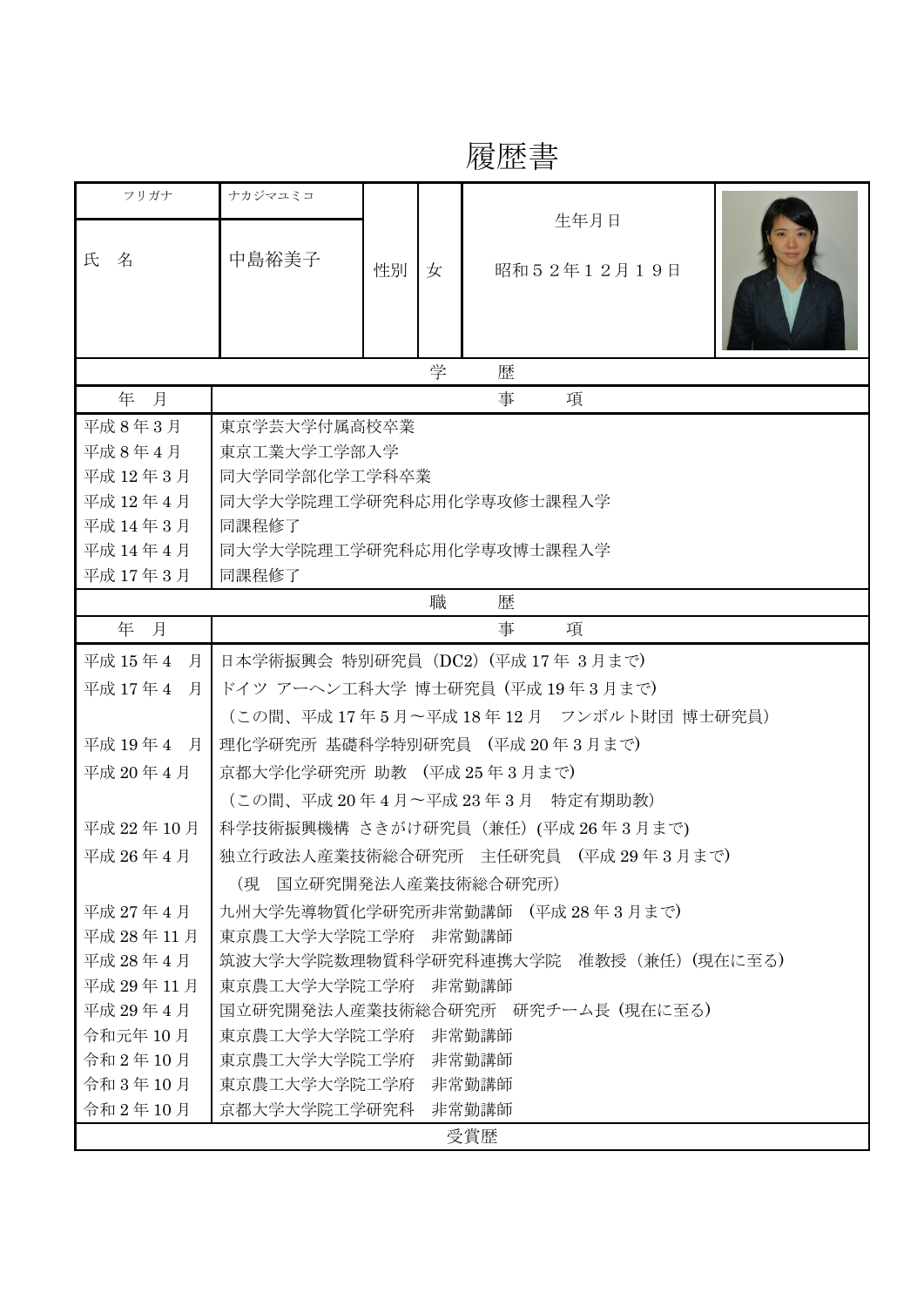## 履歴書

| フリガナ         | ナカジマユミコ                                |    |   | 生年月日        |  |
|--------------|----------------------------------------|----|---|-------------|--|
| 氏<br>名       | 中島裕美子                                  |    |   |             |  |
|              |                                        | 性別 | 女 | 昭和52年12月19日 |  |
|              |                                        |    |   |             |  |
|              |                                        |    |   |             |  |
| 学<br>歴       |                                        |    |   |             |  |
| 年 月          | 事<br>項                                 |    |   |             |  |
| 平成8年3月       | 東京学芸大学付属高校卒業                           |    |   |             |  |
| 平成8年4月       | 東京工業大学工学部入学                            |    |   |             |  |
| 平成 12年3月     | 同大学同学部化学工学科卒業                          |    |   |             |  |
| 平成 12年4月     | 同大学大学院理工学研究科応用化学専攻修士課程入学               |    |   |             |  |
| 平成 14年3月     | 同課程修了                                  |    |   |             |  |
| 平成 14年4月     | 同大学大学院理工学研究科応用化学専攻博士課程入学               |    |   |             |  |
| 平成 17年3月     | 同課程修了                                  |    |   |             |  |
| 職<br>歴       |                                        |    |   |             |  |
| 年 月          | 事<br>項                                 |    |   |             |  |
| 平成 15年4<br>月 | 日本学術振興会 特別研究員 (DC2) (平成 17年 3月まで)      |    |   |             |  |
| 平成 17年4<br>月 | ドイツ アーヘン工科大学 博士研究員 (平成19年3月まで)         |    |   |             |  |
|              | (この間、平成17年5月~平成18年12月 フンボルト財団博士研究員)    |    |   |             |  |
| 平成 19年 4 月   | 理化学研究所 基礎科学特別研究員 (平成 20年3月まで)          |    |   |             |  |
| 平成 20年4月     | 京都大学化学研究所 助教 (平成25年3月まで)               |    |   |             |  |
|              | (この間、平成20年4月~平成23年3月 特定有期助教)           |    |   |             |  |
| 平成 22年10月    | 科学技術振興機構 さきがけ研究員 (兼任) (平成 26年3月まで)     |    |   |             |  |
| 平成 26年4月     | 独立行政法人産業技術総合研究所 主任研究員 (平成29年3月まで)      |    |   |             |  |
|              | 国立研究開発法人産業技術総合研究所)<br>(現               |    |   |             |  |
| 平成 27 年 4 月  | 九州大学先導物質化学研究所非常勤講師 (平成28年3月まで)         |    |   |             |  |
| 平成 28年11月    | 東京農工大学大学院工学府 非常勤講師                     |    |   |             |  |
| 平成 28年4月     | 筑波大学大学院数理物質科学研究科連携大学院 准教授 (兼任) (現在に至る) |    |   |             |  |
| 平成 29年11月    | 東京農工大学大学院工学府<br>非常勤講師                  |    |   |             |  |
| 平成 29年4月     | 国立研究開発法人産業技術総合研究所 研究チーム長 (現在に至る)       |    |   |             |  |
| 令和元年10月      | 東京農工大学大学院工学府<br>非常勤講師                  |    |   |             |  |
| 令和2年10月      | 東京農工大学大学院工学府<br>非常勤講師                  |    |   |             |  |
| 令和 3年10月     | 東京農工大学大学院工学府<br>非常勤講師                  |    |   |             |  |
| 令和2年10月      | 京都大学大学院工学研究科<br>非常勤講師                  |    |   |             |  |
| 受賞歴          |                                        |    |   |             |  |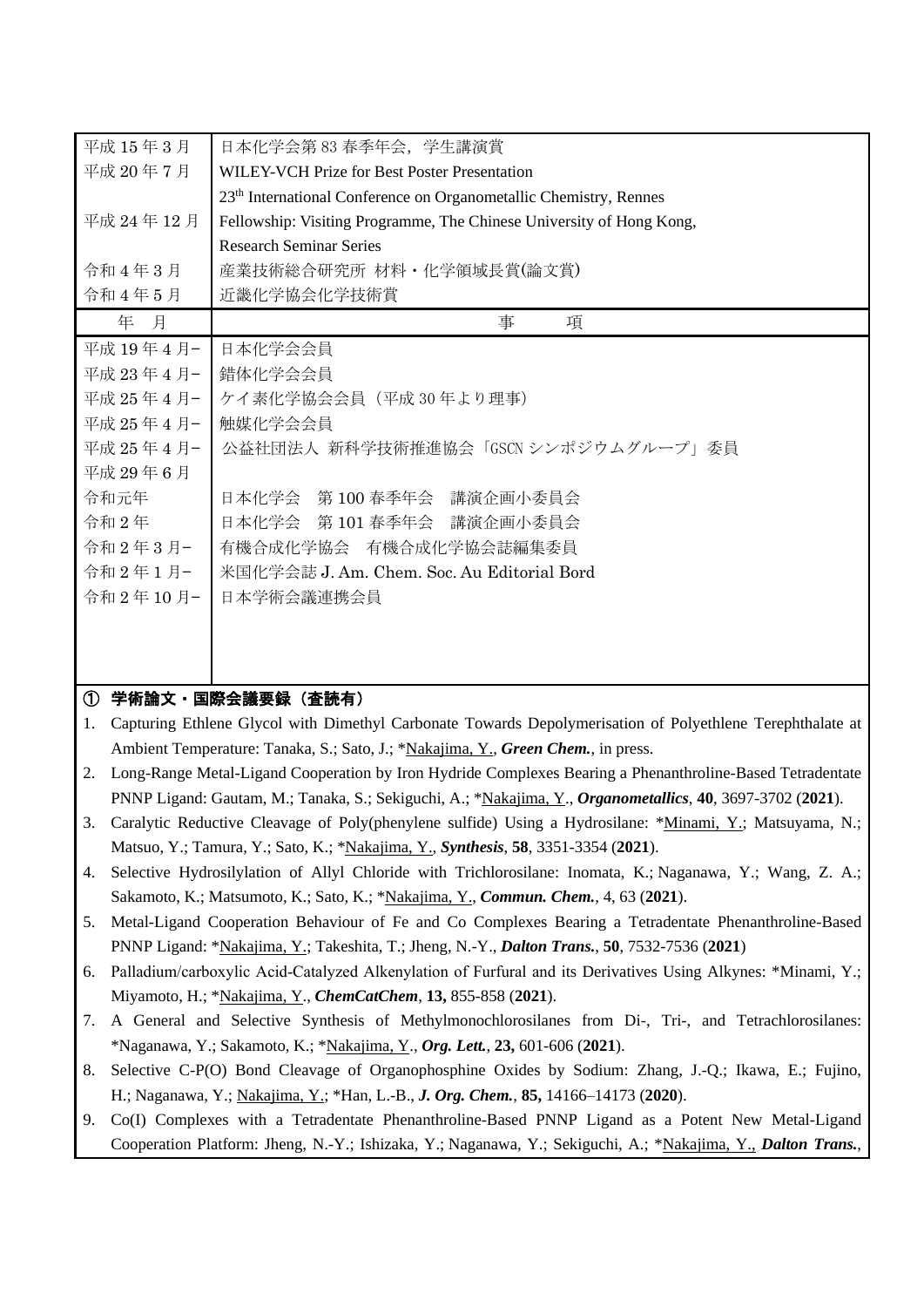| 平成 15年3月     | 日本化学会第 83 春季年会,学生講演賞                                                          |  |  |  |  |
|--------------|-------------------------------------------------------------------------------|--|--|--|--|
| 平成 20年7月     | <b>WILEY-VCH Prize for Best Poster Presentation</b>                           |  |  |  |  |
|              | 23 <sup>th</sup> International Conference on Organometallic Chemistry, Rennes |  |  |  |  |
| 平成 24年12月    | Fellowship: Visiting Programme, The Chinese University of Hong Kong,          |  |  |  |  |
|              | <b>Research Seminar Series</b>                                                |  |  |  |  |
| 令和4年3月       | 産業技術総合研究所 材料・化学領域長賞(論文賞)                                                      |  |  |  |  |
| 令和4年5月       | 近畿化学協会化学技術賞                                                                   |  |  |  |  |
| 年 月          | 事<br>項                                                                        |  |  |  |  |
| 平成 19年 4月-   | 日本化学会会員                                                                       |  |  |  |  |
| 平成 23年4月-    | 錯体化学会会員                                                                       |  |  |  |  |
| 平成 25 年 4 月- | ケイ素化学協会会員(平成 30 年より理事)                                                        |  |  |  |  |
| 平成 25年 4月-   | 触媒化学会会員                                                                       |  |  |  |  |
| 平成 25年 4月-   | 公益社団法人 新科学技術推進協会「GSCN シンポジウムグループ」委員                                           |  |  |  |  |
| 平成 29年6月     |                                                                               |  |  |  |  |
| 令和元年         | 日本化学会 第100春季年会 講演企画小委員会                                                       |  |  |  |  |
| 令和2年         | 日本化学会 第101春季年会 講演企画小委員会                                                       |  |  |  |  |
| 令和2年3月-      | 有機合成化学協会 有機合成化学協会誌編集委員                                                        |  |  |  |  |
| 令和2年1月-      | 米国化学会誌 J. Am. Chem. Soc. Au Editorial Bord                                    |  |  |  |  |
| 令和2年10月-1    | 日本学術会議連携会員                                                                    |  |  |  |  |
|              |                                                                               |  |  |  |  |
|              |                                                                               |  |  |  |  |
|              |                                                                               |  |  |  |  |

## ① 学術論文・国際会議要録(査読有)

- 1. Capturing Ethlene Glycol with Dimethyl Carbonate Towards Depolymerisation of Polyethlene Terephthalate at Ambient Temperature: Tanaka, S.; Sato, J.; \*Nakajima, Y., *Green Chem.*, in press.
- 2. Long-Range Metal-Ligand Cooperation by Iron Hydride Complexes Bearing a Phenanthroline-Based Tetradentate PNNP Ligand: Gautam, M.; Tanaka, S.; Sekiguchi, A.; \*Nakajima, Y., *Organometallics*, **40**, 3697-3702 (**2021**).
- 3. Caralytic Reductive Cleavage of Poly(phenylene sulfide) Using a Hydrosilane: \*Minami, Y.; Matsuyama, N.; Matsuo, Y.; Tamura, Y.; Sato, K.; \*Nakajima, Y., *Synthesis*, **58**, 3351-3354 (**2021**).
- 4. Selective Hydrosilylation of Allyl Chloride with Trichlorosilane: Inomata, K.; Naganawa, Y.; Wang, Z. A.; Sakamoto, K.; Matsumoto, K.; Sato, K.; \*Nakajima, Y., *Commun. Chem.*, 4, 63 (**2021**).
- 5. Metal-Ligand Cooperation Behaviour of Fe and Co Complexes Bearing a Tetradentate Phenanthroline-Based PNNP Ligand: \*Nakajima, Y.; Takeshita, T.; Jheng, N.-Y., *Dalton Trans.*, **50**, 7532-7536 (**2021**)
- 6. Palladium/carboxylic Acid‐Catalyzed Alkenylation of Furfural and its Derivatives Using Alkynes: \*Minami, Y.; Miyamoto, H.; \*Nakajima, Y., *ChemCatChem*, **13,** 855-858 (**2021**).
- 7. A General and Selective Synthesis of Methylmonochlorosilanes from Di-, Tri-, and Tetrachlorosilanes: \*Naganawa, Y.; Sakamoto, K.; \*Nakajima, Y., *Org. Lett.*, **23,** 601-606 (**2021**).
- 8. Selective C-P(O) Bond Cleavage of Organophosphine Oxides by Sodium: Zhang, J.-Q.; Ikawa, E.; Fujino, H.; Naganawa, Y.; Nakajima, Y.; \*Han, L.-B., *J. Org. Chem.*, **85,** 14166–14173 (**2020**).
- 9. Co(I) Complexes with a Tetradentate Phenanthroline-Based PNNP Ligand as a Potent New Metal-Ligand Cooperation Platform: Jheng, N.-Y.; Ishizaka, Y.; Naganawa, Y.; Sekiguchi, A.; \*Nakajima, Y., *Dalton Trans.*,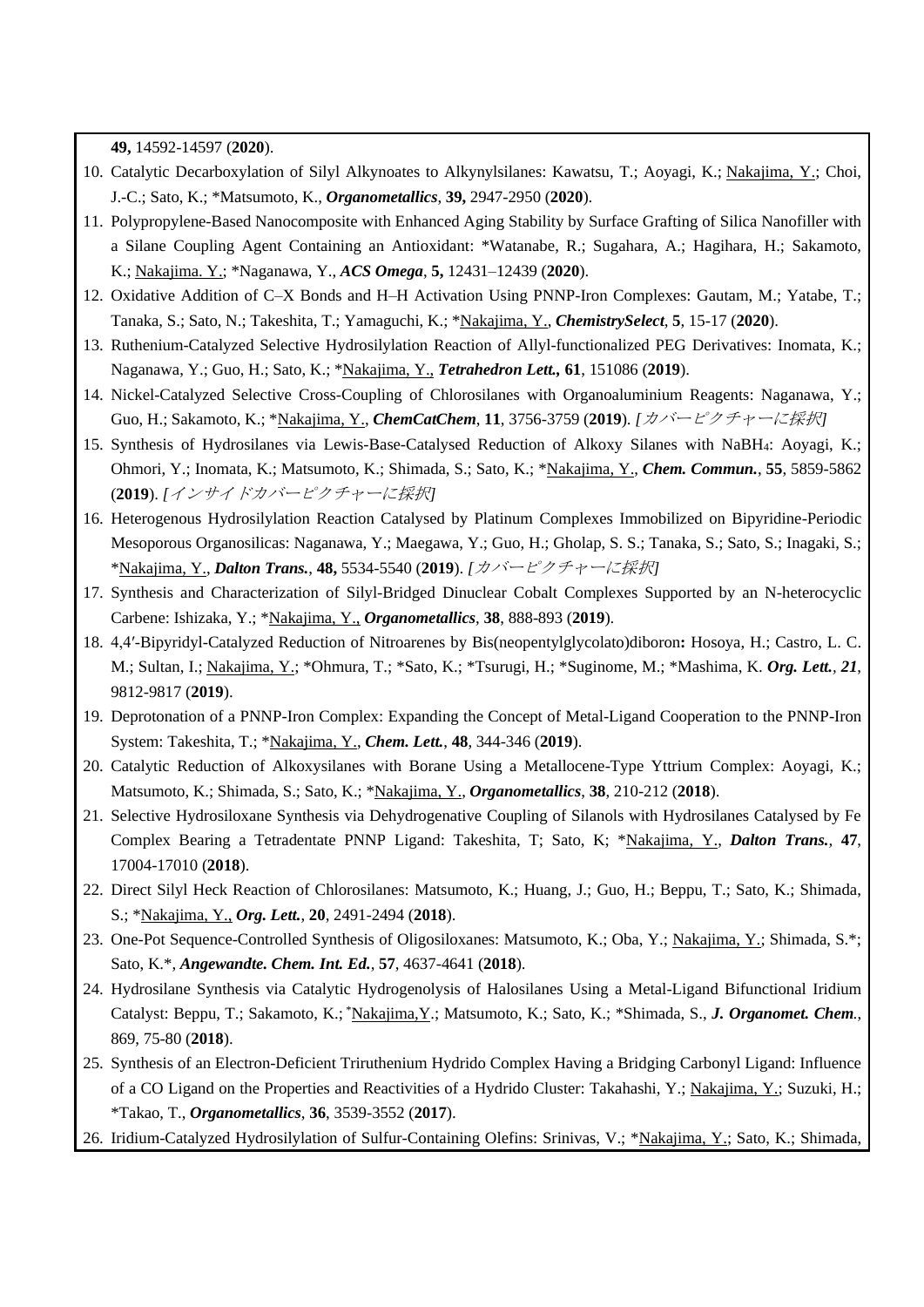**49,** 14592-14597 (**2020**).

- 10. Catalytic Decarboxylation of Silyl Alkynoates to Alkynylsilanes: Kawatsu, T.; Aoyagi, K.; Nakajima, Y.; Choi, J.-C.; Sato, K.; \*Matsumoto, K., *Organometallics*, **39,** 2947-2950 (**2020**).
- 11. Polypropylene-Based Nanocomposite with Enhanced Aging Stability by Surface Grafting of Silica Nanofiller with a Silane Coupling Agent Containing an Antioxidant: \*Watanabe, R.; Sugahara, A.; Hagihara, H.; Sakamoto, K.; Nakajima. Y.; \*Naganawa, Y., *ACS Omega*, **5,** 12431–12439 (**2020**).
- 12. Oxidative Addition of C–X Bonds and H–H Activation Using PNNP-Iron Complexes: Gautam, M.; Yatabe, T.; Tanaka, S.; Sato, N.; Takeshita, T.; Yamaguchi, K.; \*Nakajima, Y., *ChemistrySelect*, **5**, 15-17 (**2020**).
- 13. Ruthenium-Catalyzed Selective Hydrosilylation Reaction of Allyl-functionalized PEG Derivatives: Inomata, K.; Naganawa, Y.; Guo, H.; Sato, K.; \*Nakajima, Y., *Tetrahedron Lett.,* **61**, 151086 (**2019**).
- 14. Nickel-Catalyzed Selective Cross-Coupling of Chlorosilanes with Organoaluminium Reagents: Naganawa, Y.; Guo, H.; Sakamoto, K.; \*Nakajima, Y., *ChemCatChem*, **11**, 3756-3759 (**2019**). *[*カバーピクチャーに採択*]*
- 15. Synthesis of Hydrosilanes via Lewis-Base-Catalysed Reduction of Alkoxy Silanes with NaBH4: Aoyagi, K.; Ohmori, Y.; Inomata, K.; Matsumoto, K.; Shimada, S.; Sato, K.; \*Nakajima, Y., *Chem. Commun.*, **55**, 5859-5862 (**2019**). *[*インサイドカバーピクチャーに採択*]*
- 16. Heterogenous Hydrosilylation Reaction Catalysed by Platinum Complexes Immobilized on Bipyridine-Periodic Mesoporous Organosilicas: Naganawa, Y.; Maegawa, Y.; Guo, H.; Gholap, S. S.; Tanaka, S.; Sato, S.; Inagaki, S.; \*Nakajima, Y., *Dalton Trans.*, **48,** 5534-5540 (**2019**). *[*カバーピクチャーに採択*]*
- 17. Synthesis and Characterization of Silyl-Bridged Dinuclear Cobalt Complexes Supported by an N-heterocyclic Carbene: Ishizaka, Y.; \*Nakajima, Y., *Organometallics*, **38**, 888-893 (**2019**).
- 18. 4,4′-Bipyridyl-Catalyzed Reduction of Nitroarenes by Bis(neopentylglycolato)diboron**:** Hosoya, H.; Castro, L. C. M.; Sultan, I.; Nakajima, Y.; \*Ohmura, T.; \*Sato, K.; \*Tsurugi, H.; \*Suginome, M.; \*Mashima, K. *Org. Lett., 21*, 9812-9817 (**2019**).
- 19. Deprotonation of a PNNP-Iron Complex: Expanding the Concept of Metal-Ligand Cooperation to the PNNP-Iron System: Takeshita, T.; \*Nakajima, Y., *Chem. Lett.*, **48**, 344-346 (**2019**).
- 20. Catalytic Reduction of Alkoxysilanes with Borane Using a Metallocene-Type Yttrium Complex: Aoyagi, K.; Matsumoto, K.; Shimada, S.; Sato, K.; \*Nakajima, Y., *Organometallics*, **38**, 210-212 (**2018**).
- 21. Selective Hydrosiloxane Synthesis via Dehydrogenative Coupling of Silanols with Hydrosilanes Catalysed by Fe Complex Bearing a Tetradentate PNNP Ligand: Takeshita, T; Sato, K; \*Nakajima, Y., *Dalton Trans.,* **47**, 17004-17010 (**2018**).
- 22. Direct Silyl Heck Reaction of Chlorosilanes: Matsumoto, K.; Huang, J.; Guo, H.; Beppu, T.; Sato, K.; Shimada, S.; \*Nakajima, Y., *Org. Lett.*, **20**, 2491-2494 (**2018**).
- 23. One-Pot Sequence-Controlled Synthesis of Oligosiloxanes: Matsumoto, K.; Oba, Y.; Nakajima, Y.; Shimada, S.\*; Sato, K.\*, *Angewandte. Chem. Int. Ed.*, **57**, 4637-4641 (**2018**).
- 24. Hydrosilane Synthesis via Catalytic Hydrogenolysis of Halosilanes Using a Metal-Ligand Bifunctional Iridium Catalyst: Beppu, T.; Sakamoto, K.; \*Nakajima,Y.; Matsumoto, K.; Sato, K.; \*Shimada, S., *J. Organomet. Chem.*, 869, 75-80 (**2018**).
- 25. Synthesis of an Electron-Deficient Triruthenium Hydrido Complex Having a Bridging Carbonyl Ligand: Influence of a CO Ligand on the Properties and Reactivities of a Hydrido Cluster: Takahashi, Y.; Nakajima, Y.; Suzuki, H.; \*Takao, T., *Organometallics*, **36**, 3539-3552 (**2017**).
- 26. Iridium-Catalyzed Hydrosilylation of Sulfur-Containing Olefins: Srinivas, V.; \*Nakajima, Y.; Sato, K.; Shimada,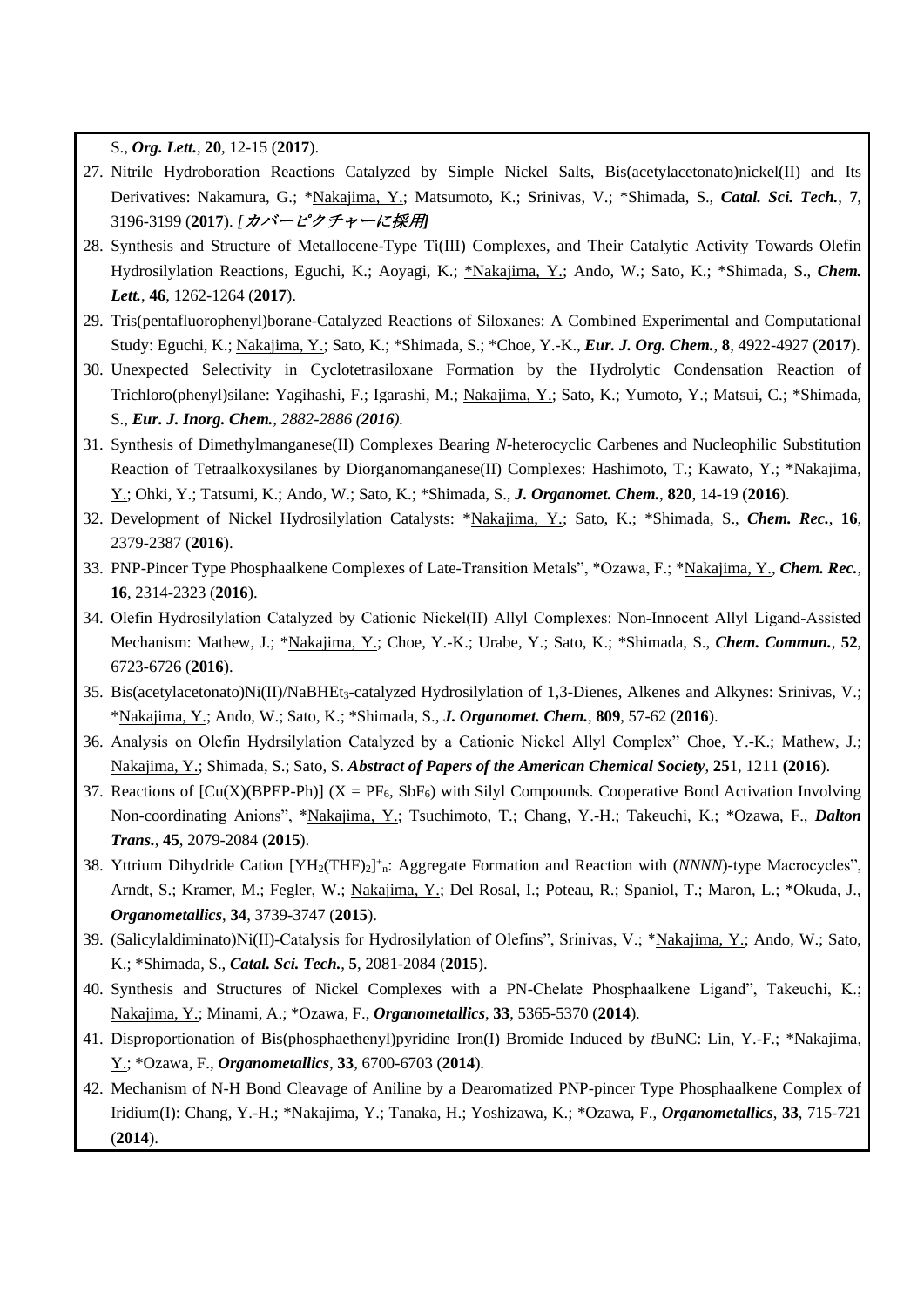S., *Org. Lett.*, **20**, 12-15 (**2017**).

- 27. Nitrile Hydroboration Reactions Catalyzed by Simple Nickel Salts, Bis(acetylacetonato)nickel(II) and Its Derivatives: Nakamura, G.; \*Nakajima, Y.; Matsumoto, K.; Srinivas, V.; \*Shimada, S., *Catal. Sci. Tech.*, **7**, 3196-3199 (**2017**). *[*カバーピクチャーに採用*]*
- 28. Synthesis and Structure of Metallocene-Type Ti(III) Complexes, and Their Catalytic Activity Towards Olefin Hydrosilylation Reactions, Eguchi, K.; Aoyagi, K.; \*Nakajima, Y.; Ando, W.; Sato, K.; \*Shimada, S., *Chem. Lett.*, **46**, 1262-1264 (**2017**).
- 29. Tris(pentafluorophenyl)borane-Catalyzed Reactions of Siloxanes: A Combined Experimental and Computational Study: Eguchi, K.; Nakajima, Y.; Sato, K.; \*Shimada, S.; \*Choe, Y.-K., *Eur. J. Org. Chem.*, **8**, 4922-4927 (**2017**).
- 30. Unexpected Selectivity in Cyclotetrasiloxane Formation by the Hydrolytic Condensation Reaction of Trichloro(phenyl)silane: [Yagihashi,](http://pubs.acs.org/author/Yagihashi%2C+Fujio) F.; [Igarashi,](http://pubs.acs.org/author/Igarashi%2C+Masayasu) M.; [Nakajima,](http://pubs.acs.org/author/Nakajima%2C+Yumiko) Y.; Sato, K.; [Yumoto,](http://pubs.acs.org/author/Yumoto%2C+Yoshiyuki) Y.; [Matsui,](http://pubs.acs.org/author/Matsui%2C+Chinami) C.; [\\*Shimada,](http://pubs.acs.org/author/Shimada%2C+Shigeru) S., *Eur. J. Inorg. Chem., 2882-2886 (2016).*
- 31. Synthesis of Dimethylmanganese(II) Complexes Bearing *N*-heterocyclic Carbenes and Nucleophilic Substitution Reaction of Tetraalkoxysilanes by Diorganomanganese(II) Complexes: Hashimoto, T.; Kawato, Y.; \*Nakajima, Y.; Ohki, Y.; Tatsumi, K.; Ando, W.; Sato, K.; \*Shimada, S., *J. Organomet. Chem.*, **820**, 14-19 (**2016**).
- 32. Development of Nickel Hydrosilylation Catalysts: \*Nakajima, Y.; Sato, K.; \*Shimada, S., *Chem. Rec.*, **16**, 2379-2387 (**2016**).
- 33. PNP-Pincer Type Phosphaalkene Complexes of Late-Transition Metals", \*Ozawa, F.; \*Nakajima, Y., *Chem. Rec.*, **16**, 2314-2323 (**2016**).
- 34. Olefin Hydrosilylation Catalyzed by Cationic Nickel(II) Allyl Complexes: Non‐Innocent Allyl Ligand‐Assisted Mechanism: Mathew, J.; \*Nakajima, Y.; Choe, Y.-K.; Urabe, Y.; Sato, K.; \*Shimada, S., *Chem. Commun.*, **52**, 6723-6726 (**2016**).
- 35. Bis(acetylacetonato)Ni(II)/NaBHEt3-catalyzed Hydrosilylation of 1,3-Dienes, Alkenes and Alkynes: Srinivas, V.; \*Nakajima, Y.; Ando, W.; Sato, K.; \*Shimada, S., *J. Organomet. Chem.*, **809**, 57-62 (**2016**).
- 36. Analysis on Olefin Hydrsilylation Catalyzed by a Cationic Nickel Allyl Complex" Choe, Y.-K.; Mathew, J.; Nakajima, Y.; Shimada, S.; Sato, S. *Abstract of Papers of the American Chemical Society*, **25**1, 1211 **(2016**).
- 37. Reactions of  $[Cu(X)(BPEP-Ph)] (X = PF_6, SbF_6)$  with Silyl Compounds. Cooperative Bond Activation Involving Non-coordinating Anions", \*Nakajima, Y.; Tsuchimoto, T.; Chang, Y.-H.; Takeuchi, K.; \*Ozawa, F., *Dalton Trans.*, **45**, 2079-2084 (**2015**).
- 38. Yttrium Dihydride Cation [YH<sub>2</sub>(THF)<sub>2</sub>]<sup>+</sup><sub>n</sub>: Aggregate Formation and Reaction with (*NNNN*)-type Macrocycles", Arndt, S.; Kramer, M.; Fegler, W.; Nakajima, Y.; Del Rosal, I.; Poteau, R.; Spaniol, T.; Maron, L.; \*Okuda, J., *Organometallics*, **34**, 3739-3747 (**2015**).
- 39. (Salicylaldiminato)Ni(II)-Catalysis for Hydrosilylation of Olefins", Srinivas, V.; \*Nakajima, Y.; Ando, W.; Sato, K.; \*Shimada, S., *Catal. Sci. Tech.*, **5**, 2081-2084 (**2015**).
- 40. Synthesis and Structures of Nickel Complexes with a PN-Chelate Phosphaalkene Ligand", Takeuchi, K.; Nakajima, Y.; Minami, A.; \*Ozawa, F., *Organometallics*, **33**, 5365-5370 (**2014**).
- 41. Disproportionation of Bis(phosphaethenyl)pyridine Iron(I) Bromide Induced by *t*BuNC: Lin, Y.-F.; \*Nakajima, Y.; \*Ozawa, F., *Organometallics*, **33**, 6700-6703 (**2014**).
- 42. Mechanism of N-H Bond Cleavage of Aniline by a Dearomatized PNP-pincer Type Phosphaalkene Complex of Iridium(I): Chang, Y.-H.; \*Nakajima, Y.; Tanaka, H.; Yoshizawa, K.; \*Ozawa, F., *Organometallics*, **33**, 715-721 (**2014**).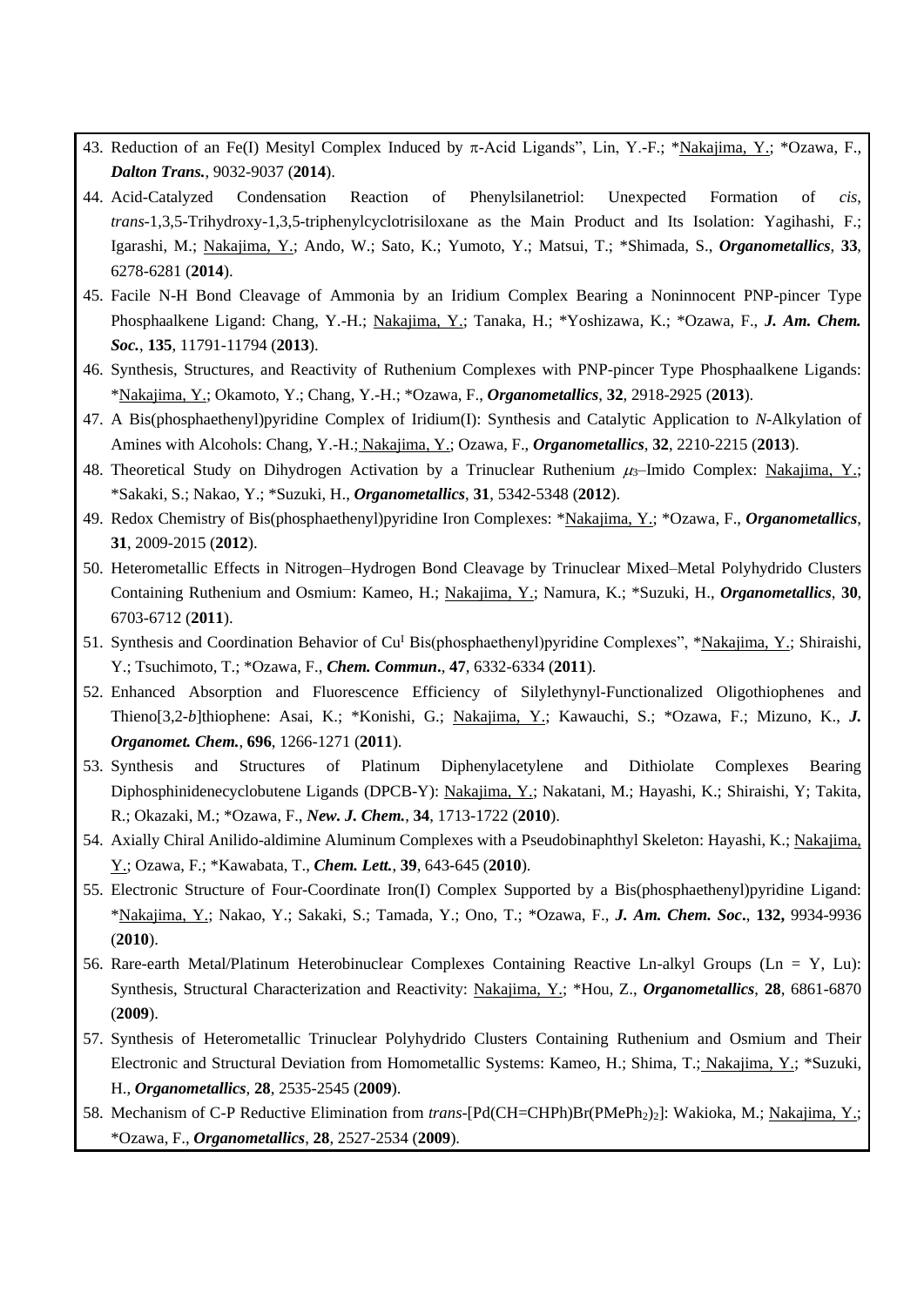- 43. Reduction of an Fe(I) Mesityl Complex Induced by  $\pi$ -Acid Ligands", Lin, Y.-F.; \*Nakajima, Y.; \*Ozawa, F., *Dalton Trans.*, 9032-9037 (**2014**).
- 44. Acid-Catalyzed Condensation Reaction of Phenylsilanetriol: Unexpected Formation of *cis*, *trans*-1,3,5-Trihydroxy-1,3,5-triphenylcyclotrisiloxane as the Main Product and Its Isolation: Yagihashi, F.; Igarashi, M.; Nakajima, Y.; Ando, W.; Sato, K.; Yumoto, Y.; Matsui, T.; \*Shimada, S., *Organometallics*, **33**, 6278-6281 (**2014**).
- 45. Facile N-H Bond Cleavage of Ammonia by an Iridium Complex Bearing a Noninnocent PNP-pincer Type Phosphaalkene Ligand: Chang, Y.-H.; Nakajima, Y.; Tanaka, H.; \*Yoshizawa, K.; \*Ozawa, F., *J. Am. Chem. Soc.*, **135**, 11791-11794 (**2013**).
- 46. Synthesis, Structures, and Reactivity of Ruthenium Complexes with PNP-pincer Type Phosphaalkene Ligands: \*Nakajima, Y.; Okamoto, Y.; Chang, Y.-H.; \*Ozawa, F., *Organometallics*, **32**, 2918-2925 (**2013**).
- 47. A Bis(phosphaethenyl)pyridine Complex of Iridium(I): Synthesis and Catalytic Application to *N*-Alkylation of Amines with Alcohols: Chang, Y.-H.; Nakajima, Y.; Ozawa, F., *Organometallics*, **32**, 2210-2215 (**2013**).
- 48. Theoretical Study on Dihydrogen Activation by a Trinuclear Ruthenium  $\mu_3$ –Imido Complex: Nakajima, Y.; \*Sakaki, S.; Nakao, Y.; \*Suzuki, H., *Organometallics*, **31**, 5342-5348 (**2012**).
- 49. Redox Chemistry of Bis(phosphaethenyl)pyridine Iron Complexes: \*Nakajima, Y.; \*Ozawa, F., *Organometallics*, **31**, 2009-2015 (**2012**).
- 50. Heterometallic Effects in Nitrogen–Hydrogen Bond Cleavage by Trinuclear Mixed–Metal Polyhydrido Clusters Containing Ruthenium and Osmium: Kameo, H.; Nakajima, Y.; Namura, K.; \*Suzuki, H., *Organometallics*, **30**, 6703-6712 (**2011**).
- 51. Synthesis and Coordination Behavior of Cu<sup>I</sup> Bis(phosphaethenyl)pyridine Complexes", \*Nakajima, Y.; Shiraishi, Y.; Tsuchimoto, T.; \*Ozawa, F., *Chem. Commun***.**, **47**, 6332-6334 (**2011**).
- 52. Enhanced Absorption and Fluorescence Efficiency of Silylethynyl-Functionalized Oligothiophenes and Thieno[3,2-*b*]thiophene: Asai, K.; \*Konishi, G.; Nakajima, Y.; Kawauchi, S.; \*Ozawa, F.; Mizuno, K., *J. Organomet. Chem.*, **696**, 1266-1271 (**2011**).
- 53. Synthesis and Structures of Platinum Diphenylacetylene and Dithiolate Complexes Bearing Diphosphinidenecyclobutene Ligands (DPCB-Y): Nakajima, Y.; Nakatani, M.; Hayashi, K.; Shiraishi, Y; Takita, R.; Okazaki, M.; \*Ozawa, F., *New. J. Chem.*, **34**, 1713-1722 (**2010**).
- 54. Axially Chiral Anilido-aldimine Aluminum Complexes with a Pseudobinaphthyl Skeleton: Hayashi, K.; Nakajima, Y.; Ozawa, F.; \*Kawabata, T., *Chem. Lett.*, **39**, 643-645 (**2010**).
- 55. Electronic Structure of Four-Coordinate Iron(I) Complex Supported by a Bis(phosphaethenyl)pyridine Ligand: \*Nakajima, Y.; Nakao, Y.; Sakaki, S.; Tamada, Y.; Ono, T.; \*Ozawa, F., *J. Am. Chem. Soc***.**, **132,** 9934-9936 (**2010**).
- 56. Rare-earth Metal/Platinum Heterobinuclear Complexes Containing Reactive Ln-alkyl Groups (Ln = Y, Lu): Synthesis, Structural Characterization and Reactivity: Nakajima, Y.; \*Hou, Z., *Organometallics*, **28**, 6861-6870 (**2009**).
- 57. Synthesis of Heterometallic Trinuclear Polyhydrido Clusters Containing Ruthenium and Osmium and Their Electronic and Structural Deviation from Homometallic Systems: Kameo, H.; Shima, T.; Nakajima, Y.; \*Suzuki, H., *Organometallics*, **28**, 2535-2545 (**2009**).
- 58. Mechanism of C-P Reductive Elimination from *trans*-[Pd(CH=CHPh)Br(PMePh<sub>2</sub>)<sub>2</sub>]: Wakioka, M.; Nakajima, Y.; \*Ozawa, F., *Organometallics*, **28**, 2527-2534 (**2009**).